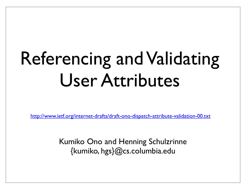# Referencing and Validating User Attributes

http://www.ietf.org/internet-drafts/draft-ono-dispatch-attribute-validation-00.txt

Kumiko Ono and Henning Schulzrinne {kumiko, hgs}@cs.columbia.edu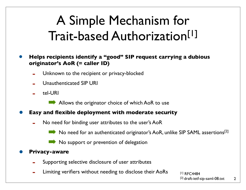## A Simple Mechanism for Trait-based Authorization[1]

• **Helps recipients identify a "good" SIP request carrying a dubious originator's AoR (= caller ID)**

- Unknown to the recipient or privacy-blocked
- Unauthenticated SIP URI
- tel-URI

Allows the originator choice of which AoR to use

- **• Easy and flexible deployment with moderate security**
	- No need for binding user attributes to the user's AoR

No need for an authenticated originator's AoR, unlike SIP SAML assertions<sup>[2]</sup>

No support or prevention of delegation

#### **• Privacy-aware**

- Supporting selective disclosure of user attributes
- Limiting verifiers without needing to disclose their AoRs

[1] RFC4484 [2] draft-ietf-sip-saml-08.txt

2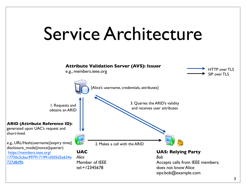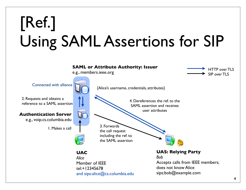## [Ref.] Using SAML Assertions for SIP

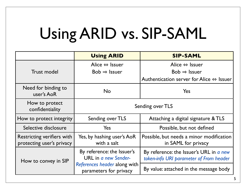## Using ARID vs. SIP-SAML

|                                                         | <b>Using ARID</b>                                                                                                   | <b>SIP-SAML</b>                                                                    |
|---------------------------------------------------------|---------------------------------------------------------------------------------------------------------------------|------------------------------------------------------------------------------------|
|                                                         | Alice $\Leftrightarrow$ Issuer                                                                                      | Alice $\Leftrightarrow$ Issuer                                                     |
| <b>Trust model</b>                                      | $Bob \Rightarrow lssuer$                                                                                            | $Bob \Rightarrow lssuer$                                                           |
|                                                         |                                                                                                                     | Authentication server for Alice $\Leftrightarrow$ Issuer                           |
| Need for binding to<br>user's AoR                       | <b>No</b>                                                                                                           | Yes                                                                                |
| How to protect<br>confidentiality                       | Sending over TLS                                                                                                    |                                                                                    |
| How to protect integrity                                | Sending over TLS                                                                                                    | Attaching a digital signature & TLS                                                |
| Selective disclosure                                    | Yes                                                                                                                 | Possible, but not defined                                                          |
| Restricting verifiers with<br>protecting user's privacy | Yes, by hashing user's AoR<br>with a salt                                                                           | Possible, but needs a minor modification<br>in SAML for privacy                    |
| How to convey in SIP                                    | By reference: the Issuer's<br><b>URL</b> in a new Sender-<br>References header along with<br>parameters for privacy | By reference: the Issuer's URL in a new<br>token-info URI parameter of From header |
|                                                         |                                                                                                                     | By value: attached in the message body                                             |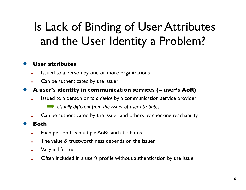### Is Lack of Binding of User Attributes and the User Identity a Problem?

#### **• User attributes**

- Issued to a person by one or more organizations
- Can be authenticated by the issuer
- **• A user's identity in communication services (= user's AoR)**
	- Issued to a person or *to a device* by a communication service provider
		- ! *Usually different from the issuer of user attributes*
	- Can be authenticated by the issuer and others by checking reachability

#### **• Both**

- Each person has multiple AoRs and attributes
- The value & trustworthiness depends on the issuer
- Vary in lifetime
- Often included in a user's profile without authentication by the issuer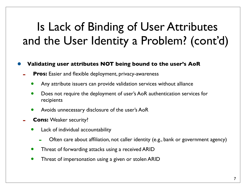### Is Lack of Binding of User Attributes and the User Identity a Problem? (cont'd)

#### **• Validating user attributes NOT being bound to the user's AoR**

- **Pros:** Easier and flexible deployment, privacy-awareness
	- Any attribute issuers can provide validation services without alliance
	- Does not require the deployment of user's AoR authentication services for recipients
	- Avoids unnecessary disclosure of the user's AoR
- **Cons: Weaker security?** 
	- Lack of individual accountability
		- Often care about affiliation, not caller identity (e.g., bank or government agency)
	- Threat of forwarding attacks using a received ARID
	- Threat of impersonation using a given or stolen ARID